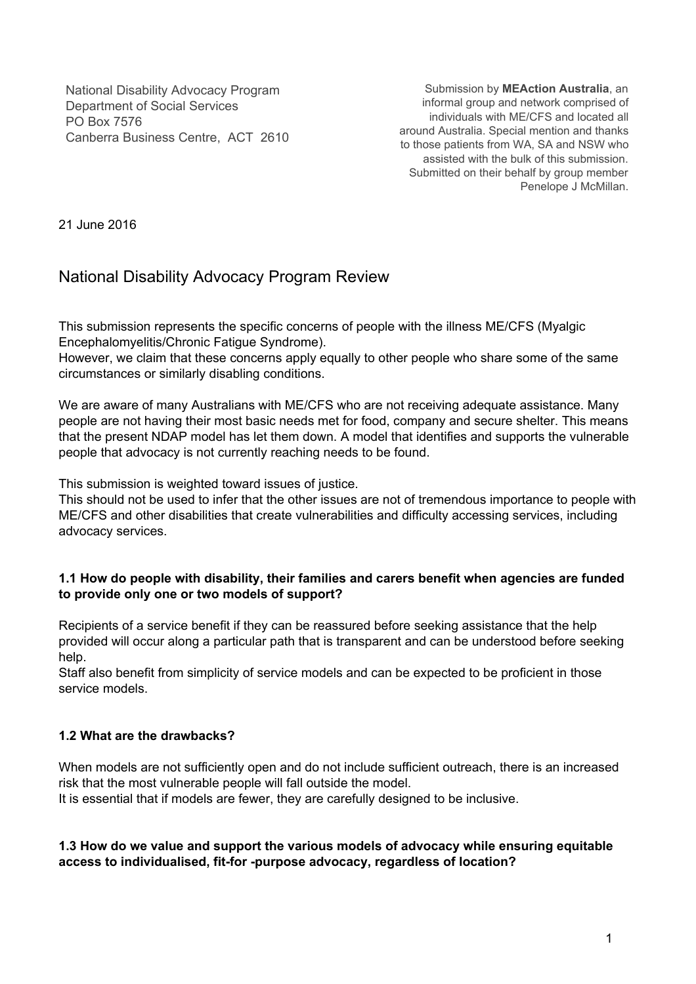National Disability Advocacy Program Department of Social Services PO Box 7576 Canberra Business Centre, ACT 2610

Submission by **MEAction Australia**, an informal group and network comprised of individuals with ME/CFS and located all around Australia. Special mention and thanks to those patients from WA, SA and NSW who assisted with the bulk of this submission. Submitted on their behalf by group member Penelope J McMillan.

21 June 2016

# National Disability Advocacy Program Review

This submission represents the specific concerns of people with the illness ME/CFS (Myalgic Encephalomyelitis/Chronic Fatigue Syndrome).

However, we claim that these concerns apply equally to other people who share some of the same circumstances or similarly disabling conditions.

We are aware of many Australians with ME/CFS who are not receiving adequate assistance. Many people are not having their most basic needs met for food, company and secure shelter. This means that the present NDAP model has let them down. A model that identifies and supports the vulnerable people that advocacy is not currently reaching needs to be found.

This submission is weighted toward issues of justice.

This should not be used to infer that the other issues are not of tremendous importance to people with ME/CFS and other disabilities that create vulnerabilities and difficulty accessing services, including advocacy services.

## **1.1 How do people with disability, their families and carers benefit when agencies are funded to provide only one or two models of support?**

Recipients of a service benefit if they can be reassured before seeking assistance that the help provided will occur along a particular path that is transparent and can be understood before seeking help.

Staff also benefit from simplicity of service models and can be expected to be proficient in those service models.

# **1.2 What are the drawbacks?**

When models are not sufficiently open and do not include sufficient outreach, there is an increased risk that the most vulnerable people will fall outside the model.

It is essential that if models are fewer, they are carefully designed to be inclusive.

#### **1.3 How do we value and support the various models of advocacy while ensuring equitable access to individualised, fitfor purpose advocacy, regardless of location?**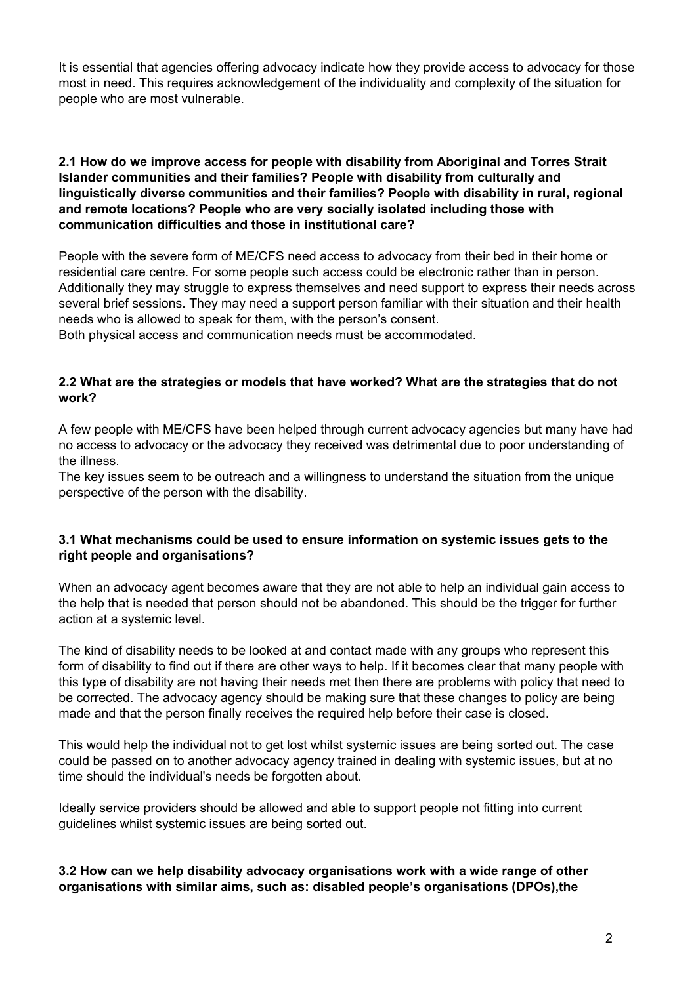It is essential that agencies offering advocacy indicate how they provide access to advocacy for those most in need. This requires acknowledgement of the individuality and complexity of the situation for people who are most vulnerable.

#### **2.1 How do we improve access for people with disability from Aboriginal and Torres Strait Islander communities and their families? People with disability from culturally and linguistically diverse communities and their families? People with disability in rural, regional and remote locations? People who are very socially isolated including those with communication difficulties and those in institutional care?**

People with the severe form of ME/CFS need access to advocacy from their bed in their home or residential care centre. For some people such access could be electronic rather than in person. Additionally they may struggle to express themselves and need support to express their needs across several brief sessions. They may need a support person familiar with their situation and their health needs who is allowed to speak for them, with the person's consent.

Both physical access and communication needs must be accommodated.

## **2.2 What are the strategies or models that have worked? What are the strategies that do not work?**

A few people with ME/CFS have been helped through current advocacy agencies but many have had no access to advocacy or the advocacy they received was detrimental due to poor understanding of the illness.

The key issues seem to be outreach and a willingness to understand the situation from the unique perspective of the person with the disability.

## **3.1 What mechanisms could be used to ensure information on systemic issues gets to the right people and organisations?**

When an advocacy agent becomes aware that they are not able to help an individual gain access to the help that is needed that person should not be abandoned. This should be the trigger for further action at a systemic level.

The kind of disability needs to be looked at and contact made with any groups who represent this form of disability to find out if there are other ways to help. If it becomes clear that many people with this type of disability are not having their needs met then there are problems with policy that need to be corrected. The advocacy agency should be making sure that these changes to policy are being made and that the person finally receives the required help before their case is closed.

This would help the individual not to get lost whilst systemic issues are being sorted out. The case could be passed on to another advocacy agency trained in dealing with systemic issues, but at no time should the individual's needs be forgotten about.

Ideally service providers should be allowed and able to support people not fitting into current guidelines whilst systemic issues are being sorted out.

## **3.2 How can we help disability advocacy organisations work with a wide range of other organisations with similar aims, such as: disabled people's organisations (DPOs),the**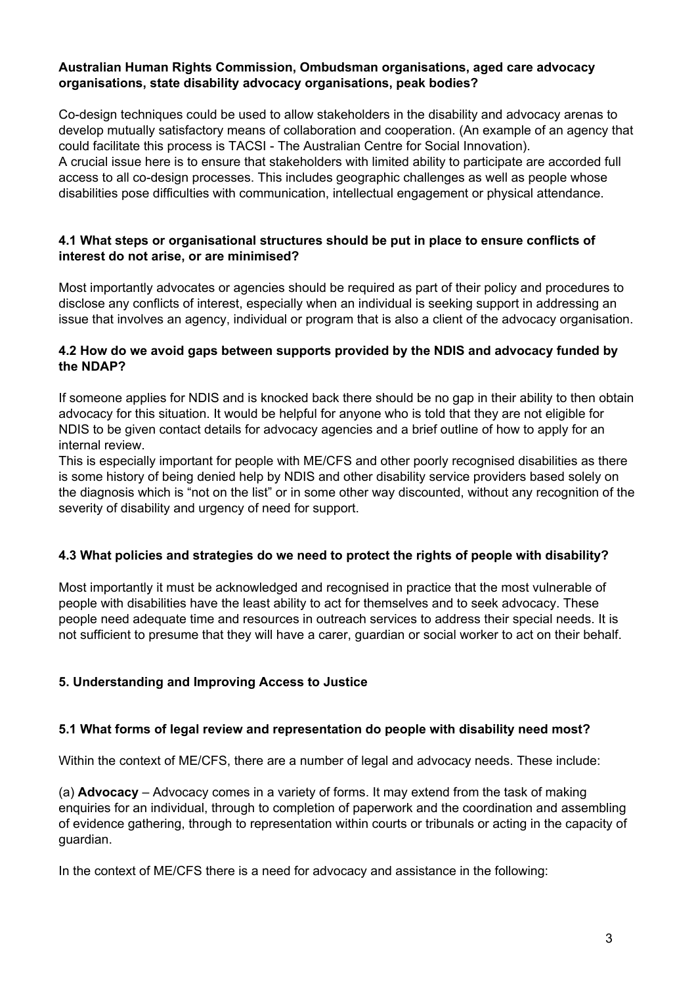#### **Australian Human Rights Commission, Ombudsman organisations, aged care advocacy organisations, state disability advocacy organisations, peak bodies?**

Co-design techniques could be used to allow stakeholders in the disability and advocacy arenas to develop mutually satisfactory means of collaboration and cooperation. (An example of an agency that could facilitate this process is TACSI - The Australian Centre for Social Innovation). A crucial issue here is to ensure that stakeholders with limited ability to participate are accorded full access to all co-design processes. This includes geographic challenges as well as people whose disabilities pose difficulties with communication, intellectual engagement or physical attendance.

## **4.1 What steps or organisational structures should be put in place to ensure conflicts of interest do not arise, or are minimised?**

Most importantly advocates or agencies should be required as part of their policy and procedures to disclose any conflicts of interest, especially when an individual is seeking support in addressing an issue that involves an agency, individual or program that is also a client of the advocacy organisation.

## **4.2 How do we avoid gaps between supports provided by the NDIS and advocacy funded by the NDAP?**

If someone applies for NDIS and is knocked back there should be no gap in their ability to then obtain advocacy for this situation. It would be helpful for anyone who is told that they are not eligible for NDIS to be given contact details for advocacy agencies and a brief outline of how to apply for an internal review.

This is especially important for people with ME/CFS and other poorly recognised disabilities as there is some history of being denied help by NDIS and other disability service providers based solely on the diagnosis which is "not on the list" or in some other way discounted, without any recognition of the severity of disability and urgency of need for support.

# **4.3 What policies and strategies do we need to protect the rights of people with disability?**

Most importantly it must be acknowledged and recognised in practice that the most vulnerable of people with disabilities have the least ability to act for themselves and to seek advocacy. These people need adequate time and resources in outreach services to address their special needs. It is not sufficient to presume that they will have a carer, guardian or social worker to act on their behalf.

# **5. Understanding and Improving Access to Justice**

#### **5.1 What forms of legal review and representation do people with disability need most?**

Within the context of ME/CFS, there are a number of legal and advocacy needs. These include:

(a) **Advocacy**– Advocacy comes in a variety of forms. It may extend from the task of making enquiries for an individual, through to completion of paperwork and the coordination and assembling of evidence gathering, through to representation within courts or tribunals or acting in the capacity of guardian.

In the context of ME/CFS there is a need for advocacy and assistance in the following: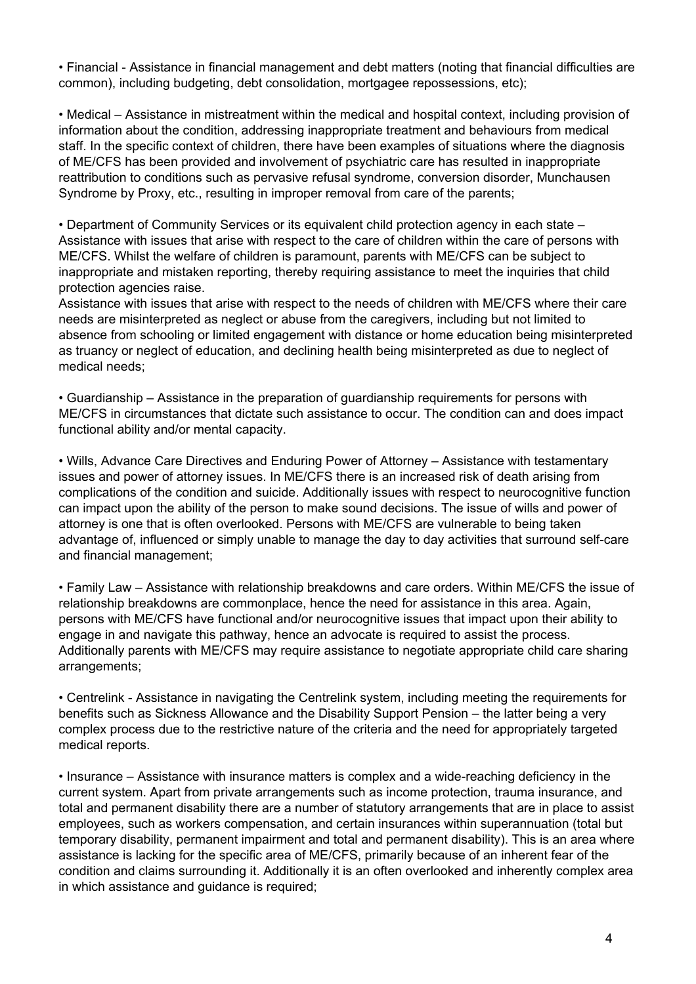• Financial Assistance in financial management and debt matters (noting that financial difficulties are common), including budgeting, debt consolidation, mortgagee repossessions, etc);

• Medical – Assistance in mistreatment within the medical and hospital context, including provision of information about the condition, addressing inappropriate treatment and behaviours from medical staff. In the specific context of children, there have been examples of situations where the diagnosis of ME/CFS has been provided and involvement of psychiatric care has resulted in inappropriate reattribution to conditions such as pervasive refusal syndrome, conversion disorder, Munchausen Syndrome by Proxy, etc., resulting in improper removal from care of the parents;

• Department of Community Services or its equivalent child protection agency in each state – Assistance with issues that arise with respect to the care of children within the care of persons with ME/CFS. Whilst the welfare of children is paramount, parents with ME/CFS can be subject to inappropriate and mistaken reporting, thereby requiring assistance to meet the inquiries that child protection agencies raise.

Assistance with issues that arise with respect to the needs of children with ME/CFS where their care needs are misinterpreted as neglect or abuse from the caregivers, including but not limited to absence from schooling or limited engagement with distance or home education being misinterpreted as truancy or neglect of education, and declining health being misinterpreted as due to neglect of medical needs;

• Guardianship – Assistance in the preparation of guardianship requirements for persons with ME/CFS in circumstances that dictate such assistance to occur. The condition can and does impact functional ability and/or mental capacity.

• Wills, Advance Care Directives and Enduring Power of Attorney – Assistance with testamentary issues and power of attorney issues. In ME/CFS there is an increased risk of death arising from complications of the condition and suicide. Additionally issues with respect to neurocognitive function can impact upon the ability of the person to make sound decisions. The issue of wills and power of attorney is one that is often overlooked. Persons with ME/CFS are vulnerable to being taken advantage of, influenced or simply unable to manage the day to day activities that surround self-care and financial management;

• Family Law – Assistance with relationship breakdowns and care orders. Within ME/CFS the issue of relationship breakdowns are commonplace, hence the need for assistance in this area. Again, persons with ME/CFS have functional and/or neurocognitive issues that impact upon their ability to engage in and navigate this pathway, hence an advocate is required to assist the process. Additionally parents with ME/CFS may require assistance to negotiate appropriate child care sharing arrangements;

• Centrelink - Assistance in navigating the Centrelink system, including meeting the requirements for benefits such as Sickness Allowance and the Disability Support Pension – the latter being a very complex process due to the restrictive nature of the criteria and the need for appropriately targeted medical reports.

• Insurance – Assistance with insurance matters is complex and a wide-reaching deficiency in the current system. Apart from private arrangements such as income protection, trauma insurance, and total and permanent disability there are a number of statutory arrangements that are in place to assist employees, such as workers compensation, and certain insurances within superannuation (total but temporary disability, permanent impairment and total and permanent disability). This is an area where assistance is lacking for the specific area of ME/CFS, primarily because of an inherent fear of the condition and claims surrounding it. Additionally it is an often overlooked and inherently complex area in which assistance and guidance is required;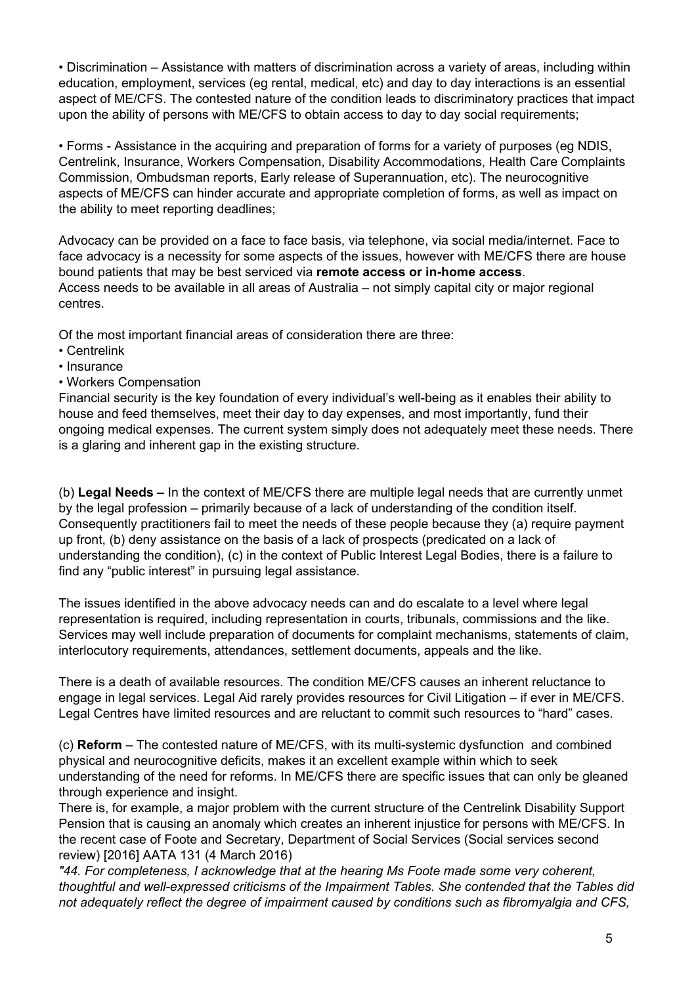• Discrimination – Assistance with matters of discrimination across a variety of areas, including within education, employment, services (eg rental, medical, etc) and day to day interactions is an essential aspect of ME/CFS. The contested nature of the condition leads to discriminatory practices that impact upon the ability of persons with ME/CFS to obtain access to day to day social requirements;

• Forms - Assistance in the acquiring and preparation of forms for a variety of purposes (eg NDIS, Centrelink, Insurance, Workers Compensation, Disability Accommodations, Health Care Complaints Commission, Ombudsman reports, Early release of Superannuation, etc). The neurocognitive aspects of ME/CFS can hinder accurate and appropriate completion of forms, as well as impact on the ability to meet reporting deadlines;

Advocacy can be provided on a face to face basis, via telephone, via social media/internet. Face to face advocacy is a necessity for some aspects of the issues, however with ME/CFS there are house bound patients that may be best serviced via **remote access or inhome access**. Access needs to be available in all areas of Australia – not simply capital city or major regional centres.

Of the most important financial areas of consideration there are three:

- Centrelink
- Insurance
- Workers Compensation

Financial security is the key foundation of every individual's well-being as it enables their ability to house and feed themselves, meet their day to day expenses, and most importantly, fund their ongoing medical expenses. The current system simply does not adequately meet these needs. There is a glaring and inherent gap in the existing structure.

(b) **Legal Needs –** In the context of ME/CFS there are multiple legal needs that are currently unmet by the legal profession – primarily because of a lack of understanding of the condition itself. Consequently practitioners fail to meet the needs of these people because they (a) require payment up front, (b) deny assistance on the basis of a lack of prospects (predicated on a lack of understanding the condition), (c) in the context of Public Interest Legal Bodies, there is a failure to find any "public interest" in pursuing legal assistance.

The issues identified in the above advocacy needs can and do escalate to a level where legal representation is required, including representation in courts, tribunals, commissions and the like. Services may well include preparation of documents for complaint mechanisms, statements of claim, interlocutory requirements, attendances, settlement documents, appeals and the like.

There is a death of available resources. The condition ME/CFS causes an inherent reluctance to engage in legal services. Legal Aid rarely provides resources for Civil Litigation – if ever in ME/CFS. Legal Centres have limited resources and are reluctant to commit such resources to "hard" cases.

(c) **Reform** – The contested nature of ME/CFS, with its multi-systemic dysfunction and combined physical and neurocognitive deficits, makes it an excellent example within which to seek understanding of the need for reforms. In ME/CFS there are specific issues that can only be gleaned through experience and insight.

There is, for example, a major problem with the current structure of the Centrelink Disability Support Pension that is causing an anomaly which creates an inherent injustice for persons with ME/CFS. In the recent case of Foote and Secretary, Department of Social Services (Social services second review) [2016] AATA 131 (4 March 2016)

*"44. For completeness, I acknowledge that at the hearing Ms Foote made some very coherent, thoughtful and wellexpressed criticisms of the Impairment Tables. She contended that the Tables did not adequately reflect the degree of impairment caused by conditions such as fibromyalgia and CFS,*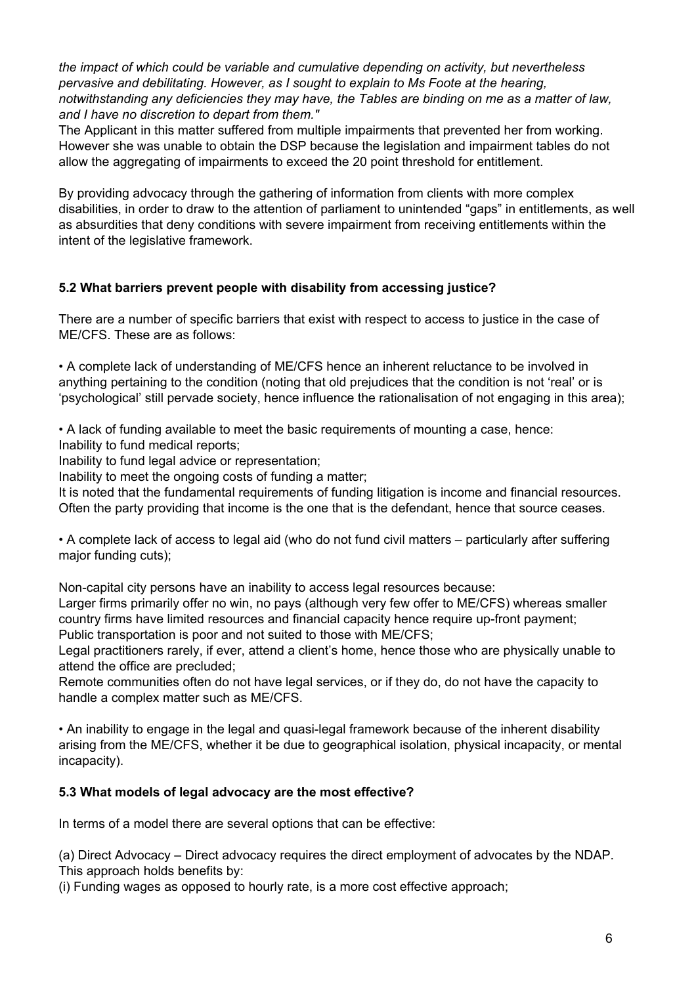*the impact of which could be variable and cumulative depending on activity, but nevertheless pervasive and debilitating. However, as I sought to explain to Ms Foote at the hearing, notwithstanding any deficiencies they may have, the Tables are binding on me as a matter of law, and I have no discretion to depart from them."*

The Applicant in this matter suffered from multiple impairments that prevented her from working. However she was unable to obtain the DSP because the legislation and impairment tables do not allow the aggregating of impairments to exceed the 20 point threshold for entitlement.

By providing advocacy through the gathering of information from clients with more complex disabilities, in order to draw to the attention of parliament to unintended "gaps" in entitlements, as well as absurdities that deny conditions with severe impairment from receiving entitlements within the intent of the legislative framework.

# **5.2 What barriers prevent people with disability from accessing justice?**

There are a number of specific barriers that exist with respect to access to justice in the case of ME/CFS. These are as follows:

• A complete lack of understanding of ME/CFS hence an inherent reluctance to be involved in anything pertaining to the condition (noting that old prejudices that the condition is not 'real' or is 'psychological' still pervade society, hence influence the rationalisation of not engaging in this area);

• A lack of funding available to meet the basic requirements of mounting a case, hence:

Inability to fund medical reports;

Inability to fund legal advice or representation;

Inability to meet the ongoing costs of funding a matter;

It is noted that the fundamental requirements of funding litigation is income and financial resources. Often the party providing that income is the one that is the defendant, hence that source ceases.

• A complete lack of access to legal aid (who do not fund civil matters – particularly after suffering major funding cuts);

Non-capital city persons have an inability to access legal resources because:

Larger firms primarily offer no win, no pays (although very few offer to ME/CFS) whereas smaller country firms have limited resources and financial capacity hence require up-front payment; Public transportation is poor and not suited to those with ME/CFS;

Legal practitioners rarely, if ever, attend a client's home, hence those who are physically unable to attend the office are precluded;

Remote communities often do not have legal services, or if they do, do not have the capacity to handle a complex matter such as ME/CFS.

• An inability to engage in the legal and quasi-legal framework because of the inherent disability arising from the ME/CFS, whether it be due to geographical isolation, physical incapacity, or mental incapacity).

# **5.3 What models of legal advocacy are the most effective?**

In terms of a model there are several options that can be effective:

(a) Direct Advocacy – Direct advocacy requires the direct employment of advocates by the NDAP. This approach holds benefits by:

(i) Funding wages as opposed to hourly rate, is a more cost effective approach;